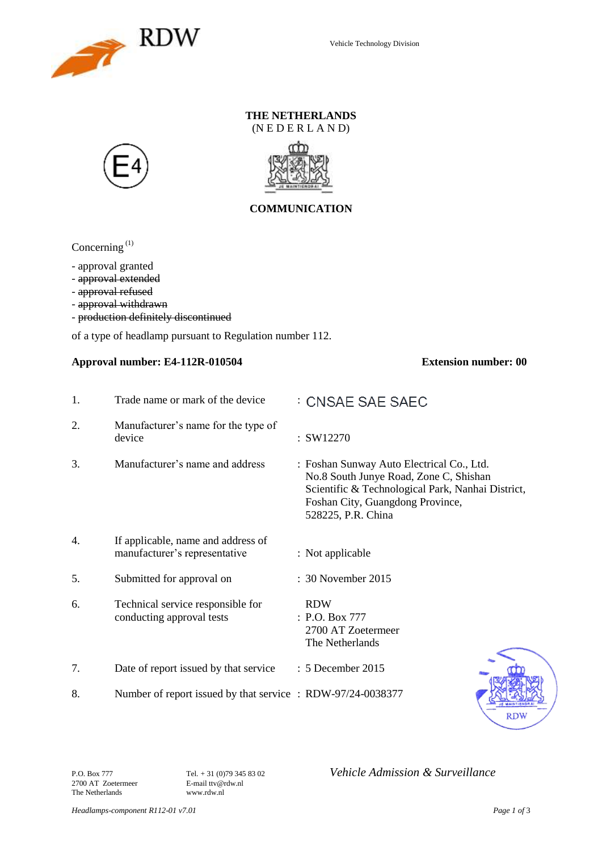

### **THE NETHERLANDS** (N E D E R L A N D)





## **COMMUNICATION**

Concerning<sup>(1)</sup>

- approval granted

- approval extended
- approval refused
- approval withdrawn
- production definitely discontinued

of a type of headlamp pursuant to Regulation number 112.

#### **Approval number: E4-112R-010504 Extension number: 00**

| 1. | Trade name or mark of the device                                    | : CNSAE SAE SAEC                                                                                                                                                                                   |
|----|---------------------------------------------------------------------|----------------------------------------------------------------------------------------------------------------------------------------------------------------------------------------------------|
| 2. | Manufacturer's name for the type of<br>device                       | : SW12270                                                                                                                                                                                          |
| 3. | Manufacturer's name and address                                     | : Foshan Sunway Auto Electrical Co., Ltd.<br>No.8 South Junye Road, Zone C, Shishan<br>Scientific & Technological Park, Nanhai District,<br>Foshan City, Guangdong Province,<br>528225, P.R. China |
| 4. | If applicable, name and address of<br>manufacturer's representative | : Not applicable                                                                                                                                                                                   |
| 5. | Submitted for approval on                                           | : 30 November 2015                                                                                                                                                                                 |
| 6. | Technical service responsible for<br>conducting approval tests      | <b>RDW</b><br>: P.O. Box 777<br>2700 AT Zoetermeer<br>The Netherlands                                                                                                                              |
| 7. | Date of report issued by that service                               | : 5 December 2015                                                                                                                                                                                  |
| 8. | Number of report issued by that service : RDW-97/24-0038377         |                                                                                                                                                                                                    |



2700 AT Zoetermeer E-mail ttv@r<br>The Netherlands www.rdw.nl The Netherlands

P.O. Box 777 **Tel.** + 31 (0)79 345 83 02 *Vehicle Admission & Surveillance*<br>2700 AT Zoetermeer **E-mail** ttv@rdw.nl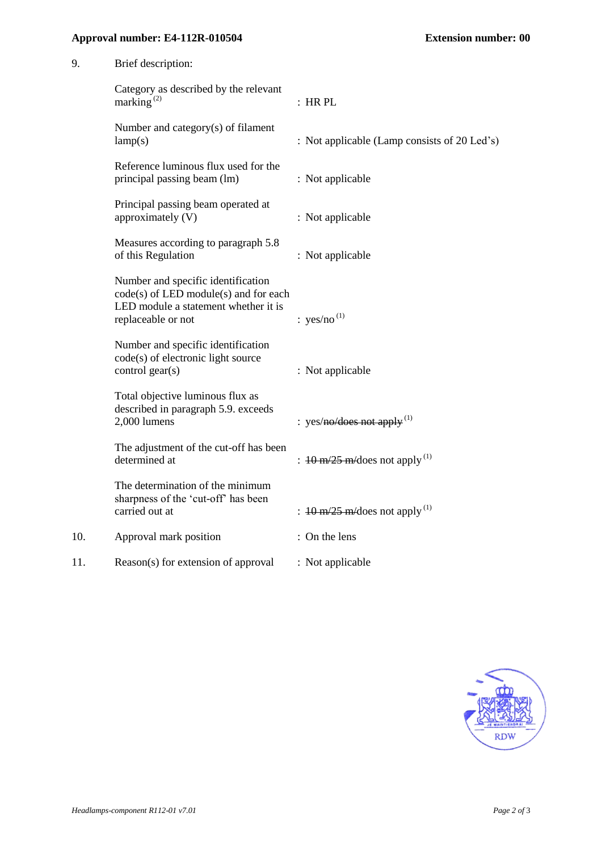## **Approval number: E4-112R-010504 Extension number: 00**

| 9.  | Brief description:                                                                                                                        |                                                                    |
|-----|-------------------------------------------------------------------------------------------------------------------------------------------|--------------------------------------------------------------------|
|     | Category as described by the relevant<br>marking $^{(2)}$                                                                                 | : HRPL                                                             |
|     | Number and category(s) of filament<br>lamp(s)                                                                                             | : Not applicable (Lamp consists of 20 Led's)                       |
|     | Reference luminous flux used for the<br>principal passing beam (lm)                                                                       | : Not applicable                                                   |
|     | Principal passing beam operated at<br>approximately (V)                                                                                   | : Not applicable                                                   |
|     | Measures according to paragraph 5.8<br>of this Regulation                                                                                 | : Not applicable                                                   |
|     | Number and specific identification<br>code(s) of LED module(s) and for each<br>LED module a statement whether it is<br>replaceable or not | : $yes/no^{(1)}$                                                   |
|     | Number and specific identification<br>code(s) of electronic light source<br>control gear(s)                                               | : Not applicable                                                   |
|     | Total objective luminous flux as<br>described in paragraph 5.9. exceeds<br>2,000 lumens                                                   | : yes/no/does not apply $^{(1)}$                                   |
|     | The adjustment of the cut-off has been<br>determined at                                                                                   | : $10 \text{ m}/25 \text{ m}/\text{does}$ not apply <sup>(1)</sup> |
|     | The determination of the minimum<br>sharpness of the 'cut-off' has been<br>carried out at                                                 | : $10 \text{ m}/25 \text{ m}/\text{does}$ not apply <sup>(1)</sup> |
| 10. | Approval mark position                                                                                                                    | : On the lens                                                      |
| 11. | Reason(s) for extension of approval                                                                                                       | : Not applicable                                                   |
|     |                                                                                                                                           |                                                                    |

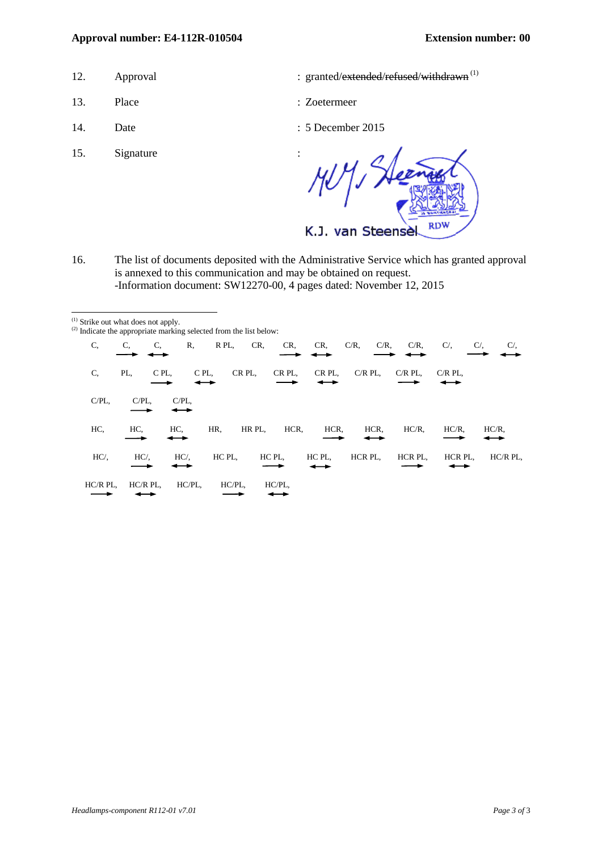#### **Approval number: E4-112R-010504 Extension number: 00**

- 
- 13. Place : Zoetermeer
- 

l

- 15. Signature
- 12. Approval : granted/extended/refused/withdrawn<sup>(1)</sup>
	-
- 14. Date : 5 December 2015

 $1/3$ M **RD** K.J. van Steense

16. The list of documents deposited with the Administrative Service which has granted approval is annexed to this communication and may be obtained on request. -Information document: SW12270-00, 4 pages dated: November 12, 2015

| <sup>(1)</sup> Strike out what does not apply. |          |         |        | $^{(2)}$ Indicate the appropriate marking selected from the list below: |        |        |                    |           |                  |            |
|------------------------------------------------|----------|---------|--------|-------------------------------------------------------------------------|--------|--------|--------------------|-----------|------------------|------------|
| C.                                             | C,       | C,      | R,     | R PL,<br>CR,                                                            | CR,    | CR,    | $C/R$ ,<br>$C/R$ , | $C/R$ ,   | $C/$ ,<br>$C/$ , | $C/$ ,     |
| C.                                             | PL,      | C PL.   | C PL,  | CR PL.                                                                  | CR PL. | CR PL. | $C/R$ PL,          | $C/R$ PL, | $C/R$ PL.        |            |
| $C/PL$ ,                                       | $C/PL$ , | C/PL    |        |                                                                         |        |        |                    |           |                  |            |
| HC,                                            | HC.      | HC.     | HR.    | HR PL,                                                                  | HCR,   | HCR,   | HCR.               | $HC/R$ ,  | $HC/R$ ,         | $HC/R$ ,   |
| $HC/$ .                                        | $HC/$ .  | $HC/$ . |        | HC PL.                                                                  | HC PL. | HC PL. | HCR PL.            | HCR PL.   | HCR PL.          | $HC/R$ PL, |
| $HC/R$ PL,                                     | HC/R PL. |         | HC/PL, | HC/PL.                                                                  | HC/PL. |        |                    |           |                  |            |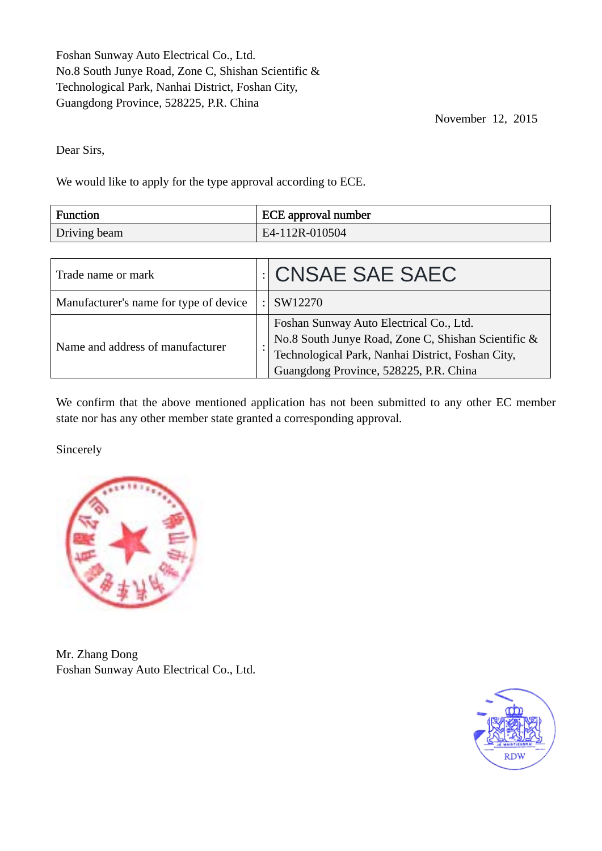Foshan Sunway Auto Electrical Co., Ltd. No.8 South Junye Road, Zone C, Shishan Scientific & Technological Park, Nanhai District, Foshan City, Guangdong Province, 528225, P.R. China

November 12, 2015

Dear Sirs,

We would like to apply for the type approval according to ECE.

| <b>Function</b> | <b>ECE</b> approval number |
|-----------------|----------------------------|
| Driving beam    | $E4-112R-010504$           |

| Trade name or mark                     | <b>CNSAE SAE SAEC</b>                                                                                                                                                                         |
|----------------------------------------|-----------------------------------------------------------------------------------------------------------------------------------------------------------------------------------------------|
| Manufacturer's name for type of device | SW12270                                                                                                                                                                                       |
| Name and address of manufacturer       | Foshan Sunway Auto Electrical Co., Ltd.<br>No.8 South Junye Road, Zone C, Shishan Scientific &<br>Technological Park, Nanhai District, Foshan City,<br>Guangdong Province, 528225, P.R. China |

We confirm that the above mentioned application has not been submitted to any other EC member state nor has any other member state granted a corresponding approval.

Sincerely



Mr. Zhang Dong Foshan Sunway Auto Electrical Co., Ltd.

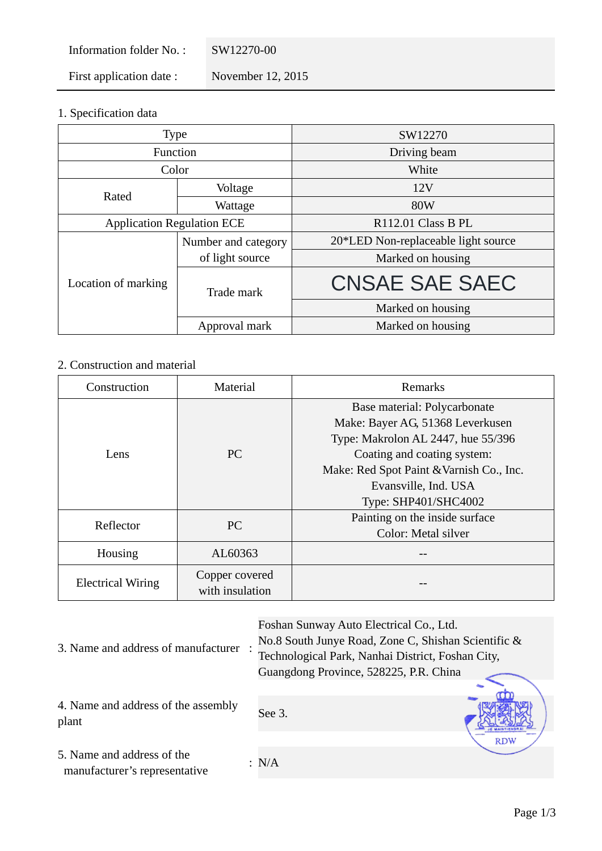Information folder No. : SW12270-00 First application date : November 12, 2015

1. Specification data

| <b>Type</b>                       |                     | SW12270                             |  |  |  |
|-----------------------------------|---------------------|-------------------------------------|--|--|--|
| Function                          |                     | Driving beam                        |  |  |  |
| Color                             |                     | White                               |  |  |  |
| Rated                             | Voltage             | 12V                                 |  |  |  |
|                                   | Wattage             | 80W                                 |  |  |  |
| <b>Application Regulation ECE</b> |                     | R112.01 Class B PL                  |  |  |  |
|                                   | Number and category | 20*LED Non-replaceable light source |  |  |  |
|                                   | of light source     | Marked on housing                   |  |  |  |
| Location of marking               | Trade mark          | <b>CNSAE SAE SAEC</b>               |  |  |  |
|                                   |                     | Marked on housing                   |  |  |  |
|                                   | Approval mark       | Marked on housing                   |  |  |  |

# 2. Construction and material

| Construction<br>Material |                                   | Remarks                                  |  |  |  |
|--------------------------|-----------------------------------|------------------------------------------|--|--|--|
|                          |                                   | Base material: Polycarbonate             |  |  |  |
|                          |                                   | Make: Bayer AG, 51368 Leverkusen         |  |  |  |
|                          |                                   | Type: Makrolon AL 2447, hue 55/396       |  |  |  |
| Lens                     | <b>PC</b>                         | Coating and coating system:              |  |  |  |
|                          |                                   | Make: Red Spot Paint & Varnish Co., Inc. |  |  |  |
|                          |                                   | Evansville, Ind. USA                     |  |  |  |
|                          |                                   | Type: SHP401/SHC4002                     |  |  |  |
| Reflector                | <b>PC</b>                         | Painting on the inside surface           |  |  |  |
|                          |                                   | Color: Metal silver                      |  |  |  |
| Housing                  | AL60363                           |                                          |  |  |  |
| <b>Electrical Wiring</b> | Copper covered<br>with insulation |                                          |  |  |  |

|                                                             | Foshan Sunway Auto Electrical Co., Ltd.             |            |  |
|-------------------------------------------------------------|-----------------------------------------------------|------------|--|
|                                                             | No.8 South Junye Road, Zone C, Shishan Scientific & |            |  |
| 3. Name and address of manufacturer                         | Technological Park, Nanhai District, Foshan City,   |            |  |
|                                                             | Guangdong Province, 528225, P.R. China              |            |  |
|                                                             |                                                     |            |  |
| 4. Name and address of the assembly<br>plant                | See 3.                                              |            |  |
|                                                             |                                                     | <b>RDW</b> |  |
| 5. Name and address of the<br>manufacturer's representative | : N/A                                               |            |  |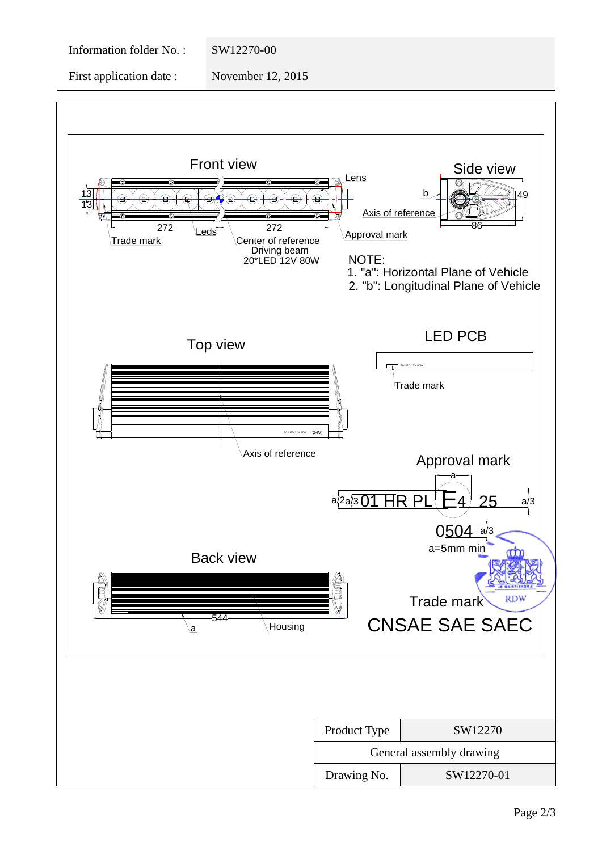Information folder No. : SW12270-00

First application date : November 12, 2015